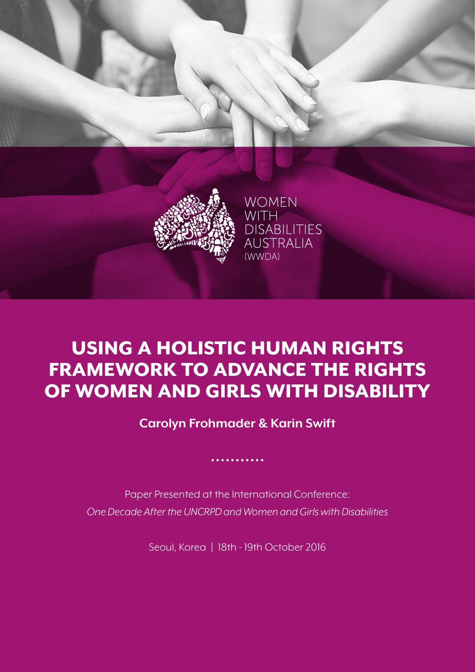

# USING A HOLISTIC HUMAN RIGHTS FRAMEWORK TO ADVANCE THE RIGHTS OF WOMEN AND GIRLS WITH DISABILITY

**Carolyn Frohmader & Karin Swift**

Paper Presented at the International Conference: *One Decade After the UNCRPD and Women and Girls with Disabilities*

Seoul, Korea **|** 18th - 19th October 2016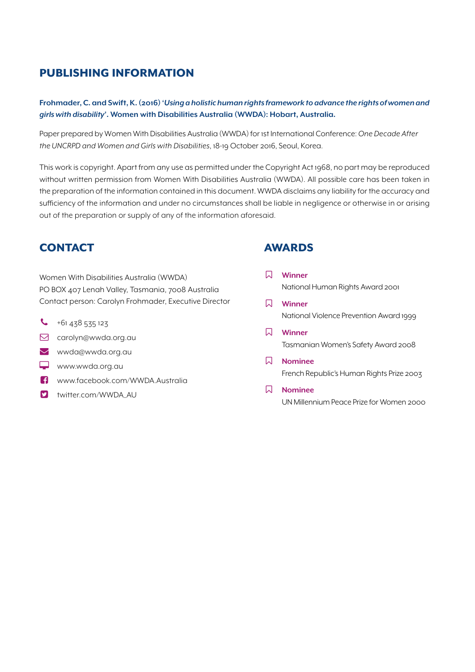# PUBLISHING INFORMATION

**Frohmader, C. and Swift, K. (2016) '***Using a holistic human rights framework to advance the rights of women and girls with disability***'. Women with Disabilities Australia (WWDA): Hobart, Australia.**

Paper prepared by Women With Disabilities Australia (WWDA) for 1st International Conference: *One Decade After the UNCRPD and Women and Girls with Disabilities*, 18-19 October 2016, Seoul, Korea.

This work is copyright. Apart from any use as permitted under the Copyright Act 1968, no part may be reproduced without written permission from Women With Disabilities Australia (WWDA). All possible care has been taken in the preparation of the information contained in this document. WWDA disclaims any liability for the accuracy and sufficiency of the information and under no circumstances shall be liable in negligence or otherwise in or arising out of the preparation or supply of any of the information aforesaid.

## **CONTACT**

Women With Disabilities Australia (WWDA) PO BOX 407 Lenah Valley, Tasmania, 7008 Australia Contact person: Carolyn Frohmader, Executive Director

- $\begin{array}{r} \big\{\bullet\end{array}$  +61 438 535 123
- carolyn@wwda.org.au
- wwda@wwda.org.au
- www.wwda.org.au
- www.facebook.com/WWDA.Australia
- **D** twitter.com/WWDA\_AU

## AWARDS

- **Winner** National Human Rights Award 2001
- **Winner** National Violence Prevention Award 1999
- **Winner** Tasmanian Women's Safety Award 2008
- **Nominee** French Republic's Human Rights Prize 2003
- **Nominee** UN Millennium Peace Prize for Women 2000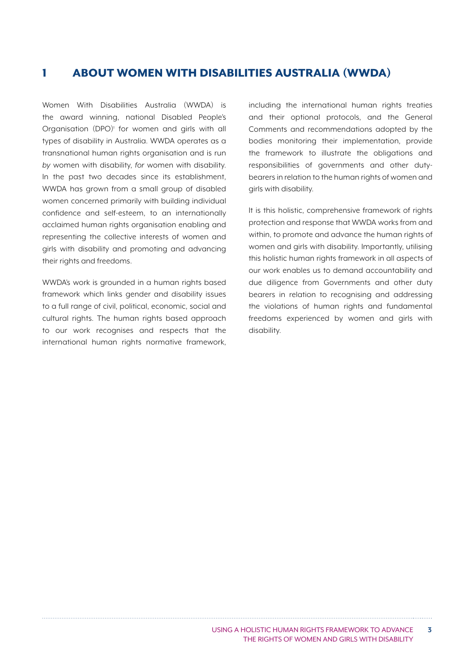## 1 ABOUT WOMEN WITH DISABILITIES AUSTRALIA (WWDA)

Women With Disabilities Australia (WWDA) is the award winning, national Disabled People's Organisation (DPO)<sup>1</sup> for women and girls with all types of disability in Australia. WWDA operates as a transnational human rights organisation and is run *by* women with disability, *for* women with disability. In the past two decades since its establishment, WWDA has grown from a small group of disabled women concerned primarily with building individual confidence and self-esteem, to an internationally acclaimed human rights organisation enabling and representing the collective interests of women and girls with disability and promoting and advancing their rights and freedoms.

WWDA's work is grounded in a human rights based framework which links gender and disability issues to a full range of civil, political, economic, social and cultural rights. The human rights based approach to our work recognises and respects that the international human rights normative framework, including the international human rights treaties and their optional protocols, and the General Comments and recommendations adopted by the bodies monitoring their implementation, provide the framework to illustrate the obligations and responsibilities of governments and other dutybearers in relation to the human rights of women and girls with disability.

It is this holistic, comprehensive framework of rights protection and response that WWDA works from and within, to promote and advance the human rights of women and girls with disability. Importantly, utilising this holistic human rights framework in all aspects of our work enables us to demand accountability and due diligence from Governments and other duty bearers in relation to recognising and addressing the violations of human rights and fundamental freedoms experienced by women and girls with disability.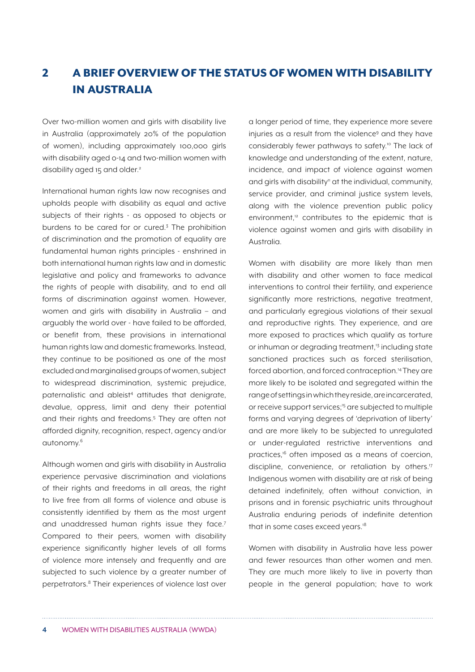# 2 A BRIEF OVERVIEW OF THE STATUS OF WOMEN WITH DISABILITY IN AUSTRALIA

Over two-million women and girls with disability live in Australia (approximately 20% of the population of women), including approximately 100,000 girls with disability aged 0-14 and two-million women with disability aged 15 and older.<sup>2</sup>

International human rights law now recognises and upholds people with disability as equal and active subjects of their rights - as opposed to objects or burdens to be cared for or cured.<sup>3</sup> The prohibition of discrimination and the promotion of equality are fundamental human rights principles - enshrined in both international human rights law and in domestic legislative and policy and frameworks to advance the rights of people with disability, and to end all forms of discrimination against women. However, women and girls with disability in Australia – and arguably the world over - have failed to be afforded, or benefit from, these provisions in international human rights law and domestic frameworks. Instead, they continue to be positioned as one of the most excluded and marginalised groups of women, subject to widespread discrimination, systemic prejudice, paternalistic and ableist<sup>4</sup> attitudes that denigrate, devalue, oppress, limit and deny their potential and their rights and freedoms.<sup>5</sup> They are often not afforded dignity, recognition, respect, agency and/or autonomy.6

Although women and girls with disability in Australia experience pervasive discrimination and violations of their rights and freedoms in all areas, the right to live free from all forms of violence and abuse is consistently identified by them as the most urgent and unaddressed human rights issue they face.7 Compared to their peers, women with disability experience significantly higher levels of all forms of violence more intensely and frequently and are subjected to such violence by a greater number of perpetrators.<sup>8</sup> Their experiences of violence last over a longer period of time, they experience more severe injuries as a result from the violence<sup>9</sup> and they have considerably fewer pathways to safety.10 The lack of knowledge and understanding of the extent, nature, incidence, and impact of violence against women and girls with disability<sup>"</sup> at the individual, community, service provider, and criminal justice system levels, along with the violence prevention public policy environment,<sup>12</sup> contributes to the epidemic that is violence against women and girls with disability in Australia.

Women with disability are more likely than men with disability and other women to face medical interventions to control their fertility, and experience significantly more restrictions, negative treatment, and particularly egregious violations of their sexual and reproductive rights. They experience, and are more exposed to practices which qualify as torture or inhuman or degrading treatment.<sup>13</sup> including state sanctioned practices such as forced sterilisation, forced abortion, and forced contraception.<sup>14</sup> They are more likely to be isolated and segregated within the range of settings in which they reside, are incarcerated, or receive support services;15 are subjected to multiple forms and varying degrees of 'deprivation of liberty' and are more likely to be subjected to unregulated or under-regulated restrictive interventions and practices,16 often imposed as a means of coercion, discipline, convenience, or retaliation by others.<sup>17</sup> Indigenous women with disability are at risk of being detained indefinitely, often without conviction, in prisons and in forensic psychiatric units throughout Australia enduring periods of indefinite detention that in some cases exceed years.<sup>18</sup>

Women with disability in Australia have less power and fewer resources than other women and men. They are much more likely to live in poverty than people in the general population; have to work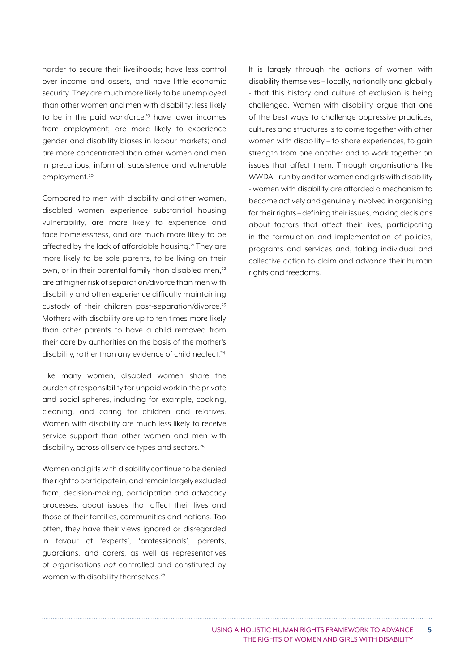harder to secure their livelihoods; have less control over income and assets, and have little economic security. They are much more likely to be unemployed than other women and men with disability; less likely to be in the paid workforce;<sup>19</sup> have lower incomes from employment; are more likely to experience gender and disability biases in labour markets; and are more concentrated than other women and men in precarious, informal, subsistence and vulnerable employment.<sup>20</sup>

Compared to men with disability and other women, disabled women experience substantial housing vulnerability, are more likely to experience and face homelessness, and are much more likely to be affected by the lack of affordable housing.<sup>21</sup> They are more likely to be sole parents, to be living on their own, or in their parental family than disabled men,<sup>22</sup> are at higher risk of separation/divorce than men with disability and often experience difficulty maintaining custody of their children post-separation/divorce.<sup>23</sup> Mothers with disability are up to ten times more likely than other parents to have a child removed from their care by authorities on the basis of the mother's disability, rather than any evidence of child neglect.<sup>24</sup>

Like many women, disabled women share the burden of responsibility for unpaid work in the private and social spheres, including for example, cooking, cleaning, and caring for children and relatives. Women with disability are much less likely to receive service support than other women and men with disability, across all service types and sectors.<sup>25</sup>

Women and girls with disability continue to be denied the right to participate in, and remain largely excluded from, decision-making, participation and advocacy processes, about issues that affect their lives and those of their families, communities and nations. Too often, they have their views ignored or disregarded in favour of 'experts', 'professionals', parents, guardians, and carers, as well as representatives of organisations *not* controlled and constituted by women with disability themselves.<sup>26</sup>

It is largely through the actions of women with disability themselves – locally, nationally and globally - that this history and culture of exclusion is being challenged. Women with disability argue that one of the best ways to challenge oppressive practices, cultures and structures is to come together with other women with disability – to share experiences, to gain strength from one another and to work together on issues that affect them. Through organisations like WWDA – run by and for women and girls with disability - women with disability are afforded a mechanism to become actively and genuinely involved in organising for their rights – defining their issues, making decisions about factors that affect their lives, participating in the formulation and implementation of policies, programs and services and, taking individual and collective action to claim and advance their human rights and freedoms.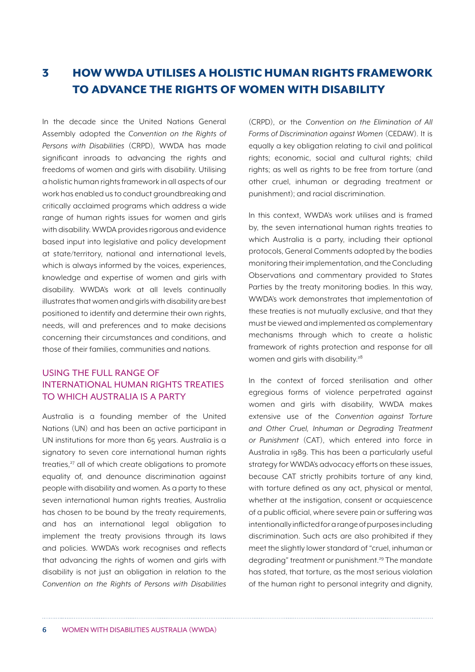# 3 HOW WWDA UTILISES A HOLISTIC HUMAN RIGHTS FRAMEWORK TO ADVANCE THE RIGHTS OF WOMEN WITH DISABILITY

In the decade since the United Nations General Assembly adopted the *Convention on the Rights of Persons with Disabilities* (CRPD), WWDA has made significant inroads to advancing the rights and freedoms of women and girls with disability. Utilising a holistic human rights framework in all aspects of our work has enabled us to conduct groundbreaking and critically acclaimed programs which address a wide range of human rights issues for women and girls with disability. WWDA provides rigorous and evidence based input into legislative and policy development at state/territory, national and international levels, which is always informed by the voices, experiences, knowledge and expertise of women and girls with disability. WWDA's work at all levels continually illustrates that women and girls with disability are best positioned to identify and determine their own rights, needs, will and preferences and to make decisions concerning their circumstances and conditions, and those of their families, communities and nations.

### USING THE FULL RANGE OF INTERNATIONAL HUMAN RIGHTS TREATIES TO WHICH AUSTRALIA IS A PARTY

Australia is a founding member of the United Nations (UN) and has been an active participant in UN institutions for more than 65 years. Australia is a signatory to seven core international human rights treaties.<sup>27</sup> all of which create obligations to promote equality of, and denounce discrimination against people with disability and women. As a party to these seven international human rights treaties, Australia has chosen to be bound by the treaty requirements. and has an international legal obligation to implement the treaty provisions through its laws and policies. WWDA's work recognises and reflects that advancing the rights of women and girls with disability is not just an obligation in relation to the *Convention on the Rights of Persons with Disabilities*  (CRPD), or the *Convention on the Elimination of All Forms of Discrimination against Women* (CEDAW). It is equally a key obligation relating to civil and political rights; economic, social and cultural rights; child rights; as well as rights to be free from torture (and other cruel, inhuman or degrading treatment or punishment); and racial discrimination.

In this context, WWDA's work utilises and is framed by, the seven international human rights treaties to which Australia is a party, including their optional protocols, General Comments adopted by the bodies monitoring their implementation, and the Concluding Observations and commentary provided to States Parties by the treaty monitoring bodies. In this way, WWDA's work demonstrates that implementation of these treaties is not mutually exclusive, and that they must be viewed and implemented as complementary mechanisms through which to create a holistic framework of rights protection and response for all women and girls with disability.<sup>28</sup>

In the context of forced sterilisation and other egregious forms of violence perpetrated against women and girls with disability, WWDA makes extensive use of the *Convention against Torture and Other Cruel, Inhuman or Degrading Treatment or Punishment* (CAT), which entered into force in Australia in 1989. This has been a particularly useful strategy for WWDA's advocacy efforts on these issues, because CAT strictly prohibits torture of any kind, with torture defined as any act, physical or mental, whether at the instigation, consent or acquiescence of a public official, where severe pain or suffering was intentionally inflicted for a range of purposes including discrimination. Such acts are also prohibited if they meet the slightly lower standard of "cruel, inhuman or degrading" treatment or punishment.<sup>29</sup> The mandate has stated, that torture, as the most serious violation of the human right to personal integrity and dignity,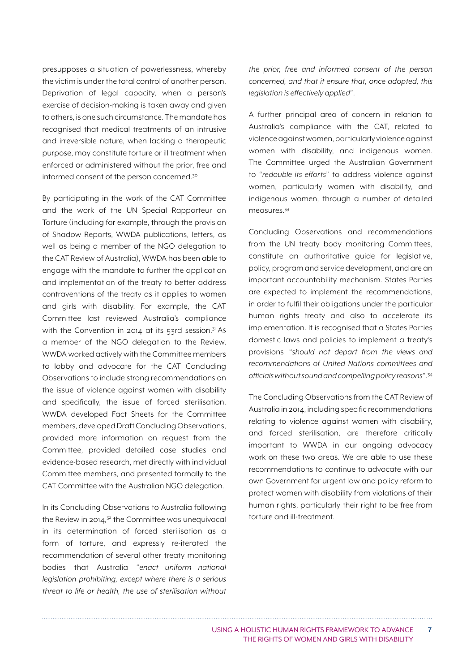presupposes a situation of powerlessness, whereby the victim is under the total control of another person. Deprivation of legal capacity, when a person's exercise of decision-making is taken away and given to others, is one such circumstance. The mandate has recognised that medical treatments of an intrusive and irreversible nature, when lacking a therapeutic purpose, may constitute torture or ill treatment when enforced or administered without the prior, free and informed consent of the person concerned.<sup>30</sup>

By participating in the work of the CAT Committee and the work of the UN Special Rapporteur on Torture (including for example, through the provision of Shadow Reports, WWDA publications, letters, as well as being a member of the NGO delegation to the CAT Review of Australia), WWDA has been able to engage with the mandate to further the application and implementation of the treaty to better address contraventions of the treaty as it applies to women and girls with disability. For example, the CAT Committee last reviewed Australia's compliance with the Convention in 2014 at its  $53$ rd session.<sup>31</sup> As a member of the NGO delegation to the Review, WWDA worked actively with the Committee members to lobby and advocate for the CAT Concluding Observations to include strong recommendations on the issue of violence against women with disability and specifically, the issue of forced sterilisation. WWDA developed Fact Sheets for the Committee members, developed Draft Concluding Observations, provided more information on request from the Committee, provided detailed case studies and evidence-based research, met directly with individual Committee members, and presented formally to the CAT Committee with the Australian NGO delegation.

In its Concluding Observations to Australia following the Review in 2014, $32$  the Committee was unequivocal in its determination of forced sterilisation as a form of torture, and expressly re-iterated the recommendation of several other treaty monitoring bodies that Australia "*enact uniform national legislation prohibiting, except where there is a serious threat to life or health, the use of sterilisation without*  *the prior, free and informed consent of the person concerned, and that it ensure that, once adopted, this legislation is effectively applied*".

A further principal area of concern in relation to Australia's compliance with the CAT, related to violence against women, particularly violence against women with disability, and indigenous women. The Committee urged the Australian Government to "*redouble its efforts*" to address violence against women, particularly women with disability, and indigenous women, through a number of detailed measures.33

Concluding Observations and recommendations from the UN treaty body monitoring Committees, constitute an authoritative guide for legislative, policy, program and service development, and are an important accountability mechanism. States Parties are expected to implement the recommendations, in order to fulfil their obligations under the particular human rights treaty and also to accelerate its implementation. It is recognised that a States Parties domestic laws and policies to implement a treaty's provisions "*should not depart from the views and recommendations of United Nations committees and officials without sound and compelling policy reasons*".34

The Concluding Observations from the CAT Review of Australia in 2014, including specific recommendations relating to violence against women with disability, and forced sterilisation, are therefore critically important to WWDA in our ongoing advocacy work on these two areas. We are able to use these recommendations to continue to advocate with our own Government for urgent law and policy reform to protect women with disability from violations of their human rights, particularly their right to be free from torture and ill-treatment.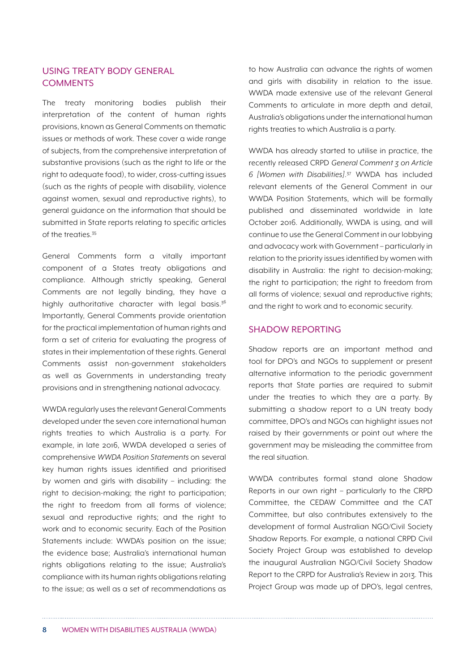#### USING TREATY BODY GENERAL **COMMENTS**

The treaty monitoring bodies publish their interpretation of the content of human rights provisions, known as General Comments on thematic issues or methods of work. These cover a wide range of subjects, from the comprehensive interpretation of substantive provisions (such as the right to life or the right to adequate food), to wider, cross-cutting issues (such as the rights of people with disability, violence against women, sexual and reproductive rights), to general guidance on the information that should be submitted in State reports relating to specific articles of the treaties.35

General Comments form a vitally important component of a States treaty obligations and compliance. Although strictly speaking, General Comments are not legally binding, they have a highly authoritative character with legal basis.<sup>36</sup> Importantly, General Comments provide orientation for the practical implementation of human rights and form a set of criteria for evaluating the progress of states in their implementation of these rights. General Comments assist non-government stakeholders as well as Governments in understanding treaty provisions and in strengthening national advocacy.

WWDA regularly uses the relevant General Comments developed under the seven core international human rights treaties to which Australia is a party. For example, in late 2016, WWDA developed a series of comprehensive *WWDA Position Statements* on several key human rights issues identified and prioritised by women and girls with disability – including: the right to decision-making; the right to participation; the right to freedom from all forms of violence; sexual and reproductive rights; and the right to work and to economic security. Each of the Position Statements include: WWDA's position on the issue; the evidence base; Australia's international human rights obligations relating to the issue; Australia's compliance with its human rights obligations relating to the issue; as well as a set of recommendations as to how Australia can advance the rights of women and girls with disability in relation to the issue. WWDA made extensive use of the relevant General Comments to articulate in more depth and detail, Australia's obligations under the international human rights treaties to which Australia is a party.

WWDA has already started to utilise in practice, the recently released CRPD *General Comment 3 on Article 6 [Women with Disabilities]*. 37 WWDA has included relevant elements of the General Comment in our WWDA Position Statements, which will be formally published and disseminated worldwide in late October 2016. Additionally, WWDA is using, and will continue to use the General Comment in our lobbying and advocacy work with Government – particularly in relation to the priority issues identified by women with disability in Australia: the right to decision-making; the right to participation; the right to freedom from all forms of violence; sexual and reproductive rights; and the right to work and to economic security.

#### SHADOW REPORTING

Shadow reports are an important method and tool for DPO's and NGOs to supplement or present alternative information to the periodic government reports that State parties are required to submit under the treaties to which they are a party. By submitting a shadow report to a UN treaty body committee, DPO's and NGOs can highlight issues not raised by their governments or point out where the government may be misleading the committee from the real situation.

WWDA contributes formal stand alone Shadow Reports in our own right – particularly to the CRPD Committee, the CEDAW Committee and the CAT Committee, but also contributes extensively to the development of formal Australian NGO/Civil Society Shadow Reports. For example, a national CRPD Civil Society Project Group was established to develop the inaugural Australian NGO/Civil Society Shadow Report to the CRPD for Australia's Review in 2013. This Project Group was made up of DPO's, legal centres,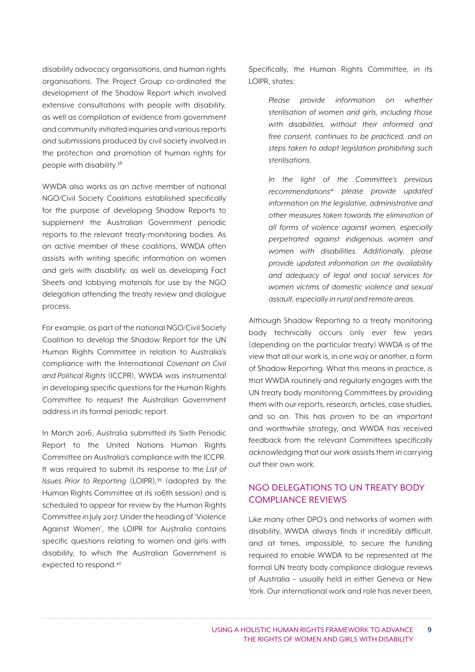disability advocacy organisations, and human rights organisations. The Project Group co-ordinated the development of the Shadow Report which involved extensive consultations with people with disability, as well as compilation of evidence from government and community initiated inquiries and various reports and submissions produced by civil society involved in the protection and promotion of human rights for people with disability.<sup>38</sup>

WWDA also works as an active member of national NGO/Civil Society Coalitions established specifically for the purpose of developing Shadow Reports to supplement the Australian Government periodic reports to the relevant treaty-monitoring bodies. As an active member of these coalitions, WWDA often assists with writing specific information on women and girls with disability, as well as developing Fact Sheets and lobbying materials for use by the NGO delegation attending the treaty review and dialogue process.

For example, as part of the national NGO/Civil Society Coalition to develop the Shadow Report for the UN Human Rights Committee in relation to Australia's compliance with the International *Covenant on Civil and Political Rights* (ICCPR), WWDA was instrumental in developing specific questions for the Human Rights Committee to request the Australian Government address in its formal periodic report.

In March 2016, Australia submitted its Sixth Periodic Report to the United Nations Human Rights Committee on Australia's compliance with the ICCPR. It was required to submit its response to the *List of Issues Prior to Reporting* (LOIPR),<sup>39</sup> (adopted by the Human Rights Committee at its 106th session) and is scheduled to appear for review by the Human Rights Committee in July 2017. Under the heading of 'Violence Against Women', the LOIPR for Australia contains specific questions relating to women and girls with disability, to which the Australian Government is expected to respond.<sup>40</sup>

Specifically, the Human Rights Committee, in its LOIPR, states:

> *Please provide information on whether sterilisation of women and girls, including those with disabilities, without their informed and free consent, continues to be practiced, and on steps taken to adopt legislation prohibiting such sterilisations.*

> *In the light of the Committee's previous recommendations*<sup>41</sup> *please provide updated information on the legislative, administrative and other measures taken towards the elimination of all forms of violence against women, especially perpetrated against indigenous women and women with disabilities. Additionally, please provide updated information on the availability and adequacy of legal and social services for women victims of domestic violence and sexual assault, especially in rural and remote areas.*

Although Shadow Reporting to a treaty monitoring body technically occurs only ever few years (depending on the particular treaty) WWDA is of the view that all our work is, in one way or another, a form of Shadow Reporting. What this means in practice, is that WWDA routinely and regularly engages with the UN treaty body monitoring Committees by providing them with our reports, research, articles, case studies, and so on. This has proven to be an important and worthwhile strategy, and WWDA has received feedback from the relevant Committees specifically acknowledging that our work assists them in carrying out their own work.

#### NGO DELEGATIONS TO UN TREATY BODY COMPLIANCE REVIEWS

Like many other DPO's and networks of women with disability, WWDA always finds it incredibly difficult, and at times, impossible, to secure the funding required to enable WWDA to be represented at the formal UN treaty body compliance dialogue reviews of Australia – usually held in either Geneva or New York. Our international work and role has never been,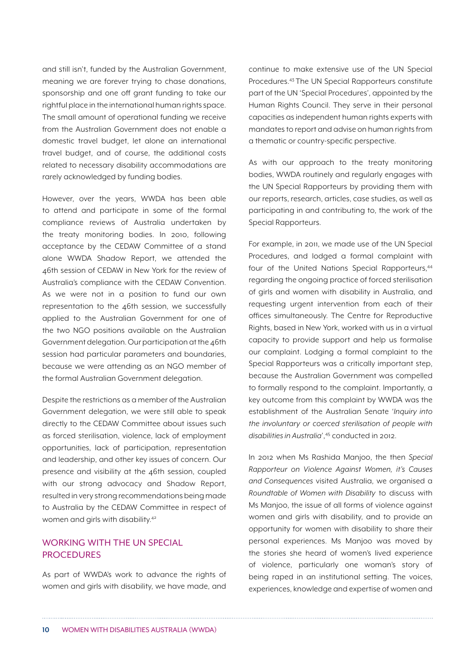and still isn't, funded by the Australian Government, meaning we are forever trying to chase donations, sponsorship and one off grant funding to take our rightful place in the international human rights space. The small amount of operational funding we receive from the Australian Government does not enable a domestic travel budget, let alone an international travel budget, and of course, the additional costs related to necessary disability accommodations are rarely acknowledged by funding bodies.

However, over the years, WWDA has been able to attend and participate in some of the formal compliance reviews of Australia undertaken by the treaty monitoring bodies. In 2010, following acceptance by the CEDAW Committee of a stand alone WWDA Shadow Report, we attended the 46th session of CEDAW in New York for the review of Australia's compliance with the CEDAW Convention. As we were not in a position to fund our own representation to the 46th session, we successfully applied to the Australian Government for one of the two NGO positions available on the Australian Government delegation. Our participation at the 46th session had particular parameters and boundaries, because we were attending as an NGO member of the formal Australian Government delegation.

Despite the restrictions as a member of the Australian Government delegation, we were still able to speak directly to the CEDAW Committee about issues such as forced sterilisation, violence, lack of employment opportunities, lack of participation, representation and leadership, and other key issues of concern. Our presence and visibility at the 46th session, coupled with our strong advocacy and Shadow Report, resulted in very strong recommendations being made to Australia by the CEDAW Committee in respect of women and girls with disability.42

#### WORKING WITH THE UN SPECIAL PROCEDURES

As part of WWDA's work to advance the rights of women and girls with disability, we have made, and continue to make extensive use of the UN Special Procedures.43 The UN Special Rapporteurs constitute part of the UN 'Special Procedures', appointed by the Human Rights Council. They serve in their personal capacities as independent human rights experts with mandates to report and advise on human rights from a thematic or country-specific perspective.

As with our approach to the treaty monitoring bodies, WWDA routinely and regularly engages with the UN Special Rapporteurs by providing them with our reports, research, articles, case studies, as well as participating in and contributing to, the work of the Special Rapporteurs.

For example, in 2011, we made use of the UN Special Procedures, and lodged a formal complaint with four of the United Nations Special Rapporteurs.<sup>44</sup> regarding the ongoing practice of forced sterilisation of girls and women with disability in Australia, and requesting urgent intervention from each of their offices simultaneously. The Centre for Reproductive Rights, based in New York, worked with us in a virtual capacity to provide support and help us formalise our complaint. Lodging a formal complaint to the Special Rapporteurs was a critically important step, because the Australian Government was compelled to formally respond to the complaint. Importantly, a key outcome from this complaint by WWDA was the establishment of the Australian Senate '*Inquiry into the involuntary or coerced sterilisation of people with disabilities in Australia*',45 conducted in 2012.

In 2012 when Ms Rashida Manjoo, the then *Special Rapporteur on Violence Against Women, it's Causes and Consequences* visited Australia, we organised a *Roundtable of Women with Disability* to discuss with Ms Manjoo, the issue of all forms of violence against women and girls with disability, and to provide an opportunity for women with disability to share their personal experiences. Ms Manjoo was moved by the stories she heard of women's lived experience of violence, particularly one woman's story of being raped in an institutional setting. The voices, experiences, knowledge and expertise of women and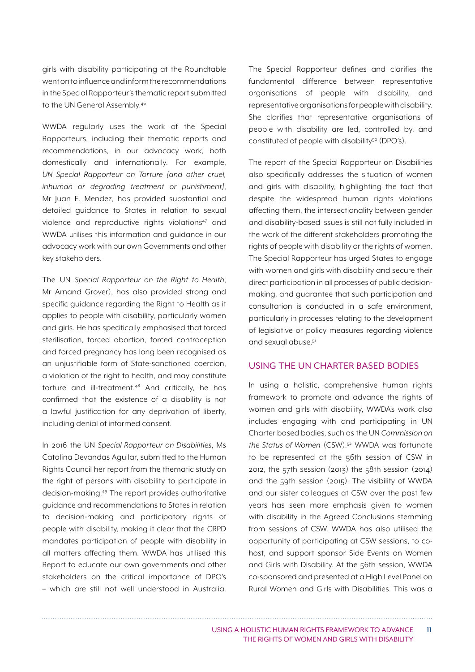girls with disability participating at the Roundtable went on to influence and inform the recommendations in the Special Rapporteur's thematic report submitted to the UN General Assembly.46

WWDA regularly uses the work of the Special Rapporteurs, including their thematic reports and recommendations, in our advocacy work, both domestically and internationally. For example, *UN Special Rapporteur on Torture [and other cruel, inhuman or degrading treatment or punishment]*, Mr Juan E. Mendez, has provided substantial and detailed guidance to States in relation to sexual violence and reproductive rights violations<sup>47</sup> and WWDA utilises this information and guidance in our advocacy work with our own Governments and other key stakeholders.

The UN *Special Rapporteur on the Right to Health*, Mr Arnand Grover), has also provided strong and specific guidance regarding the Right to Health as it applies to people with disability, particularly women and girls. He has specifically emphasised that forced sterilisation, forced abortion, forced contraception and forced pregnancy has long been recognised as an unjustifiable form of State-sanctioned coercion, a violation of the right to health, and may constitute torture and ill-treatment.48 And critically, he has confirmed that the existence of a disability is not a lawful justification for any deprivation of liberty, including denial of informed consent.

In 2016 the UN *Special Rapporteur on Disabilities*, Ms Catalina Devandas Aguilar, submitted to the Human Rights Council her report from the thematic study on the right of persons with disability to participate in decision-making.49 The report provides authoritative guidance and recommendations to States in relation to decision-making and participatory rights of people with disability, making it clear that the CRPD mandates participation of people with disability in all matters affecting them. WWDA has utilised this Report to educate our own governments and other stakeholders on the critical importance of DPO's – which are still not well understood in Australia. The Special Rapporteur defines and clarifies the fundamental difference between representative organisations of people with disability, and representative organisations for people with disability. She clarifies that representative organisations of people with disability are led, controlled by, and constituted of people with disability<sup>50</sup> (DPO's).

The report of the Special Rapporteur on Disabilities also specifically addresses the situation of women and girls with disability, highlighting the fact that despite the widespread human rights violations affecting them, the intersectionality between gender and disability-based issues is still not fully included in the work of the different stakeholders promoting the rights of people with disability or the rights of women. The Special Rapporteur has urged States to engage with women and girls with disability and secure their direct participation in all processes of public decisionmaking, and guarantee that such participation and consultation is conducted in a safe environment, particularly in processes relating to the development of legislative or policy measures regarding violence and sexual abuse.51

#### USING THE UN CHARTER BASED BODIES

In using a holistic, comprehensive human rights framework to promote and advance the rights of women and girls with disability, WWDA's work also includes engaging with and participating in UN Charter based bodies, such as the UN *Commission on the Status of Women* (CSW).52 WWDA was fortunate to be represented at the 56th session of CSW in 2012, the 57th session (2013) the 58th session (2014) and the 59th session (2015). The visibility of WWDA and our sister colleagues at CSW over the past few years has seen more emphasis given to women with disability in the Agreed Conclusions stemming from sessions of CSW. WWDA has also utilised the opportunity of participating at CSW sessions, to cohost, and support sponsor Side Events on Women and Girls with Disability. At the 56th session, WWDA co-sponsored and presented at a High Level Panel on Rural Women and Girls with Disabilities. This was a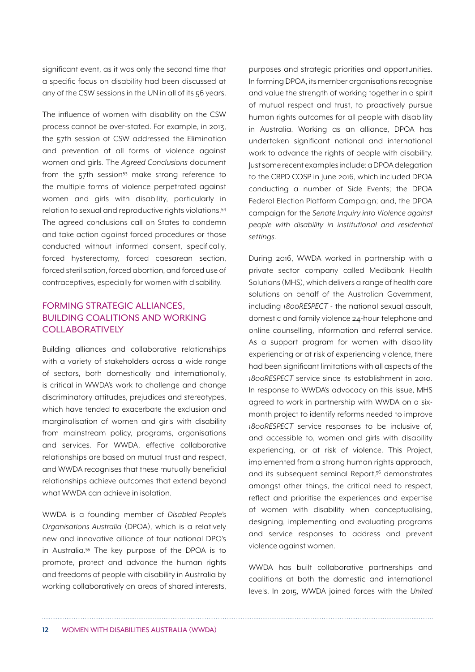significant event, as it was only the second time that a specific focus on disability had been discussed at any of the CSW sessions in the UN in all of its 56 years.

The influence of women with disability on the CSW process cannot be over-stated. For example, in 2013, the 57th session of CSW addressed the Elimination and prevention of all forms of violence against women and girls. The *Agreed Conclusions* document from the  $57th$  session<sup>53</sup> make strong reference to the multiple forms of violence perpetrated against women and girls with disability, particularly in relation to sexual and reproductive rights violations.54 The agreed conclusions call on States to condemn and take action against forced procedures or those conducted without informed consent, specifically, forced hysterectomy, forced caesarean section, forced sterilisation, forced abortion, and forced use of contraceptives, especially for women with disability.

#### FORMING STRATEGIC ALLIANCES, BUILDING COALITIONS AND WORKING **COLLABORATIVELY**

Building alliances and collaborative relationships with a variety of stakeholders across a wide range of sectors, both domestically and internationally, is critical in WWDA's work to challenge and change discriminatory attitudes, prejudices and stereotypes, which have tended to exacerbate the exclusion and marginalisation of women and girls with disability from mainstream policy, programs, organisations and services. For WWDA, effective collaborative relationships are based on mutual trust and respect, and WWDA recognises that these mutually beneficial relationships achieve outcomes that extend beyond what WWDA can achieve in isolation.

WWDA is a founding member of *Disabled People's Organisations Australia* (DPOA), which is a relatively new and innovative alliance of four national DPO's in Australia.55 The key purpose of the DPOA is to promote, protect and advance the human rights and freedoms of people with disability in Australia by working collaboratively on areas of shared interests, purposes and strategic priorities and opportunities. In forming DPOA, its member organisations recognise and value the strength of working together in a spirit of mutual respect and trust, to proactively pursue human rights outcomes for all people with disability in Australia. Working as an alliance, DPOA has undertaken significant national and international work to advance the rights of people with disability. Just some recent examples include: a DPOA delegation to the CRPD COSP in June 2016, which included DPOA conducting a number of Side Events; the DPOA Federal Election Platform Campaign; and, the DPOA campaign for the *Senate Inquiry into Violence against people with disability in institutional and residential settings*.

During 2016, WWDA worked in partnership with a private sector company called Medibank Health Solutions (MHS), which delivers a range of health care solutions on behalf of the Australian Government, including *1800RESPECT* - the national sexual assault, domestic and family violence 24-hour telephone and online counselling, information and referral service. As a support program for women with disability experiencing or at risk of experiencing violence, there had been significant limitations with all aspects of the *1800RESPECT* service since its establishment in 2010. In response to WWDA's advocacy on this issue, MHS agreed to work in partnership with WWDA on a sixmonth project to identify reforms needed to improve *1800RESPECT* service responses to be inclusive of, and accessible to, women and girls with disability experiencing, or at risk of violence. This Project, implemented from a strong human rights approach, and its subsequent seminal Report,<sup>56</sup> demonstrates amongst other things, the critical need to respect, reflect and prioritise the experiences and expertise of women with disability when conceptualising, designing, implementing and evaluating programs and service responses to address and prevent violence against women.

WWDA has built collaborative partnerships and coalitions at both the domestic and international levels. In 2015, WWDA joined forces with the *United*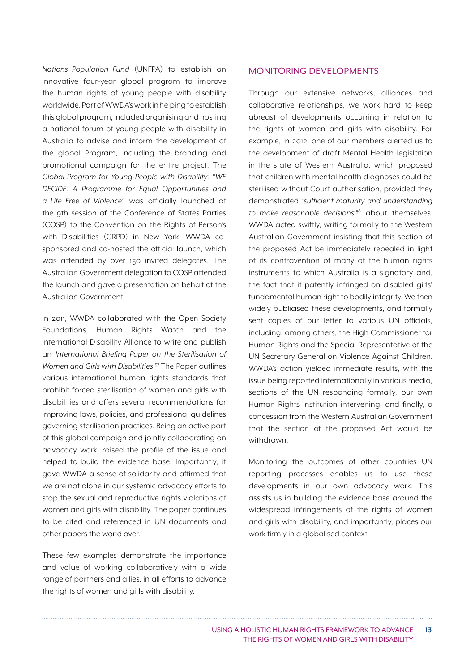*Nations Population Fund* (UNFPA) to establish an innovative four-year global program to improve the human rights of young people with disability worldwide. Part of WWDA's work in helping to establish this global program, included organising and hosting a national forum of young people with disability in Australia to advise and inform the development of the global Program, including the branding and promotional campaign for the entire project. The *Global Program for Young People with Disability: "WE DECIDE: A Programme for Equal Opportunities and a Life Free of Violence"* was officially launched at the 9th session of the Conference of States Parties (COSP) to the Convention on the Rights of Person's with Disabilities (CRPD) in New York. WWDA cosponsored and co-hosted the official launch, which was attended by over 150 invited delegates. The Australian Government delegation to COSP attended the launch and gave a presentation on behalf of the Australian Government.

In 2011, WWDA collaborated with the Open Society Foundations, Human Rights Watch and the International Disability Alliance to write and publish an *International Briefing Paper on the Sterilisation of Women and Girls with Disabilities*. 57 The Paper outlines various international human rights standards that prohibit forced sterilisation of women and girls with disabilities and offers several recommendations for improving laws, policies, and professional guidelines governing sterilisation practices. Being an active part of this global campaign and jointly collaborating on advocacy work, raised the profile of the issue and helped to build the evidence base. Importantly, it gave WWDA a sense of solidarity and affirmed that we are not alone in our systemic advocacy efforts to stop the sexual and reproductive rights violations of women and girls with disability. The paper continues to be cited and referenced in UN documents and other papers the world over.

These few examples demonstrate the importance and value of working collaboratively with a wide range of partners and allies, in all efforts to advance the rights of women and girls with disability.

#### MONITORING DEVELOPMENTS

Through our extensive networks, alliances and collaborative relationships, we work hard to keep abreast of developments occurring in relation to the rights of women and girls with disability. For example, in 2012, one of our members alerted us to the development of draft Mental Health legislation in the state of Western Australia, which proposed that children with mental health diagnoses could be sterilised without Court authorisation, provided they demonstrated '*sufficient maturity and understanding to make reasonable decisions*' 58 about themselves. WWDA acted swiftly, writing formally to the Western Australian Government insisting that this section of the proposed Act be immediately repealed in light of its contravention of many of the human rights instruments to which Australia is a signatory and, the fact that it patently infringed on disabled girls' fundamental human right to bodily integrity. We then widely publicised these developments, and formally sent copies of our letter to various UN officials, including, among others, the High Commissioner for Human Rights and the Special Representative of the UN Secretary General on Violence Against Children. WWDA's action yielded immediate results, with the issue being reported internationally in various media, sections of the UN responding formally, our own Human Rights institution intervening, and finally, a concession from the Western Australian Government that the section of the proposed Act would be withdrawn.

Monitoring the outcomes of other countries UN reporting processes enables us to use these developments in our own advocacy work. This assists us in building the evidence base around the widespread infringements of the rights of women and girls with disability, and importantly, places our work firmly in a globalised context.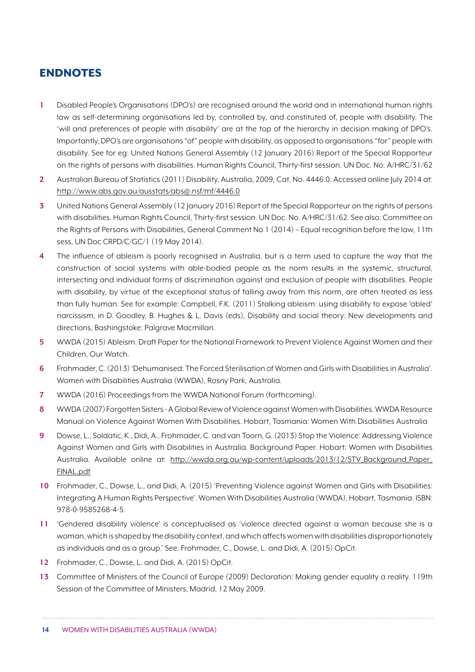## ENDNOTES

- **1** Disabled People's Organisations (DPO's) are recognised around the world and in international human rights law as self-determining organisations led by, controlled by, and constituted of, people with disability. The 'will and preferences of people with disability' are at the top of the hierarchy in decision making of DPO's. Importantly, DPO's are organisations "of" people with disability, as opposed to organisations "for" people with disability. See for eg: United Nations General Assembly (12 January 2016) Report of the Special Rapporteur on the rights of persons with disabilities. Human Rights Council, Thirty-first session. UN Doc. No. A/HRC/31/62
- **2** Australian Bureau of Statistics (2011) Disability, Australia, 2009, Cat. No. 4446.0. Accessed online July 2014 at: [http://www.abs.gov.au/ausstats/abs@.nsf/mf/4446.0](mailto:http://www.abs.gov.au/ausstats/abs@.nsf/mf/4446.0 )
- **3** United Nations General Assembly (12 January 2016) Report of the Special Rapporteur on the rights of persons with disabilities. Human Rights Council, Thirty-first session. UN Doc. No. A/HRC/31/62. See also: Committee on the Rights of Persons with Disabilities, General Comment No 1 (2014) – Equal recognition before the law, 11th sess, UN Doc CRPD/C/GC/1 (19 May 2014).
- **4** The influence of ableism is poorly recognised in Australia, but is a term used to capture the way that the construction of social systems with able-bodied people as the norm results in the systemic, structural, intersecting and individual forms of discrimination against and exclusion of people with disabilities. People with disability, by virtue of the exceptional status of falling away from this norm, are often treated as less than fully human. See for example: Campbell, F.K. (2011) Stalking ableism: using disability to expose 'abled' narcissism, in D. Goodley, B. Hughes & L. Davis (eds), Disability and social theory: New developments and directions, Bashingstoke: Palgrave Macmillan.
- **5** WWDA (2015) Ableism. Draft Paper for the National Framework to Prevent Violence Against Women and their Children, Our Watch.
- **6** Frohmader, C. (2013) 'Dehumanised: The Forced Sterilisation of Women and Girls with Disabilities in Australia'. Women with Disabilities Australia (WWDA), Rosny Park, Australia.
- **7** WWDA (2016) Proceedings from the WWDA National Forum (forthcoming).
- **8** WWDA (2007) Forgotten Sisters A Global Review of Violence against Women with Disabilities. WWDA Resource Manual on Violence Against Women With Disabilities. Hobart, Tasmania: Women With Disabilities Australia
- **9** Dowse, L., Soldatic, K., Didi, A., Frohmader, C. and van Toorn, G. (2013) Stop the Violence: Addressing Violence Against Women and Girls with Disabilities in Australia. Background Paper. Hobart: Women with Disabilities Australia. Available online at: [http://wwda.org.au/wp-content/uploads/2013/12/STV\\_Background\\_Paper\\_](http://wwda.org.au/wp-content/uploads/2013/12/STV_Background_Paper_FINAL.pdf ) [FINAL.pdf](http://wwda.org.au/wp-content/uploads/2013/12/STV_Background_Paper_FINAL.pdf )
- **10** Frohmader, C., Dowse, L., and Didi, A. (2015) 'Preventing Violence against Women and Girls with Disabilities: Integrating A Human Rights Perspective'. Women With Disabilities Australia (WWDA), Hobart, Tasmania. ISBN: 978-0-9585268-4-5.
- **11** 'Gendered disability violence' is conceptualised as 'violence directed against a woman because she is a woman, which is shaped by the disability context, and which affects women with disabilities disproportionately as individuals and as a group.' See: Frohmader, C., Dowse, L. and Didi, A. (2015) OpCit.
- **12** Frohmader, C., Dowse, L. and Didi, A. (2015) OpCit.
- **13** Committee of Ministers of the Council of Europe (2009) Declaration: Making gender equality a reality. 119th Session of the Committee of Ministers, Madrid, 12 May 2009.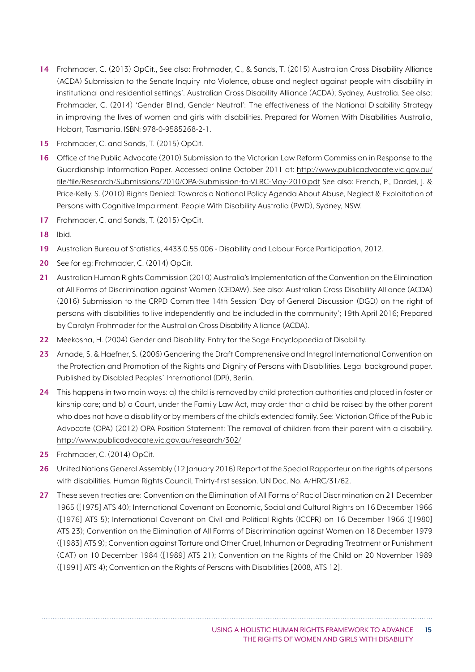- **14** Frohmader, C. (2013) OpCit., See also: Frohmader, C., & Sands, T. (2015) Australian Cross Disability Alliance (ACDA) Submission to the Senate Inquiry into Violence, abuse and neglect against people with disability in institutional and residential settings'. Australian Cross Disability Alliance (ACDA); Sydney, Australia. See also: Frohmader, C. (2014) 'Gender Blind, Gender Neutral': The effectiveness of the National Disability Strategy in improving the lives of women and girls with disabilities. Prepared for Women With Disabilities Australia, Hobart, Tasmania. ISBN: 978-0-9585268-2-1.
- **15** Frohmader, C. and Sands, T. (2015) OpCit.
- **16** Office of the Public Advocate (2010) Submission to the Victorian Law Reform Commission in Response to the Guardianship Information Paper. Accessed online October 2011 at: [http://www.publicadvocate.vic.gov.au/](http://www.publicadvocate.vic.gov.au/file/file/Research/Submissions/2010/OPA-Submission-to-VLRC-May-2010.pdf) [file/file/Research/Submissions/2010/OPA-Submission-to-VLRC-May-2010.pdf](http://www.publicadvocate.vic.gov.au/file/file/Research/Submissions/2010/OPA-Submission-to-VLRC-May-2010.pdf) See also: French, P., Dardel, J. & Price-Kelly, S. (2010) Rights Denied: Towards a National Policy Agenda About Abuse, Neglect & Exploitation of Persons with Cognitive Impairment. People With Disability Australia (PWD), Sydney, NSW.
- **17** Frohmader, C. and Sands, T. (2015) OpCit.
- **18** Ibid.
- **19** Australian Bureau of Statistics, 4433.0.55.006 Disability and Labour Force Participation, 2012.
- **20** See for eg: Frohmader, C. (2014) OpCit.
- **21** Australian Human Rights Commission (2010) Australia's Implementation of the Convention on the Elimination of All Forms of Discrimination against Women (CEDAW). See also: Australian Cross Disability Alliance (ACDA) (2016) Submission to the CRPD Committee 14th Session 'Day of General Discussion (DGD) on the right of persons with disabilities to live independently and be included in the community'; 19th April 2016; Prepared by Carolyn Frohmader for the Australian Cross Disability Alliance (ACDA).
- **22** Meekosha, H. (2004) Gender and Disability. Entry for the Sage Encyclopaedia of Disability.
- **23** Arnade, S. & Haefner, S. (2006) Gendering the Draft Comprehensive and Integral International Convention on the Protection and Promotion of the Rights and Dignity of Persons with Disabilities. Legal background paper. Published by Disabled Peoples´ International (DPI), Berlin.
- **24** This happens in two main ways: a) the child is removed by child protection authorities and placed in foster or kinship care; and b) a Court, under the Family Law Act, may order that a child be raised by the other parent who does not have a disability or by members of the child's extended family. See: Victorian Office of the Public Advocate (OPA) (2012) OPA Position Statement: The removal of children from their parent with a disability. <http://www.publicadvocate.vic.gov.au/research/302/>
- **25** Frohmader, C. (2014) OpCit.
- **26** United Nations General Assembly (12 January 2016) Report of the Special Rapporteur on the rights of persons with disabilities. Human Rights Council, Thirty-first session. UN Doc. No. A/HRC/31/62.
- **27** These seven treaties are: Convention on the Elimination of All Forms of Racial Discrimination on 21 December 1965 ([1975] ATS 40); International Covenant on Economic, Social and Cultural Rights on 16 December 1966 ([1976] ATS 5); International Covenant on Civil and Political Rights (ICCPR) on 16 December 1966 ([1980] ATS 23); Convention on the Elimination of All Forms of Discrimination against Women on 18 December 1979 ([1983] ATS 9); Convention against Torture and Other Cruel, Inhuman or Degrading Treatment or Punishment (CAT) on 10 December 1984 ([1989] ATS 21); Convention on the Rights of the Child on 20 November 1989 ([1991] ATS 4); Convention on the Rights of Persons with Disabilities [2008, ATS 12].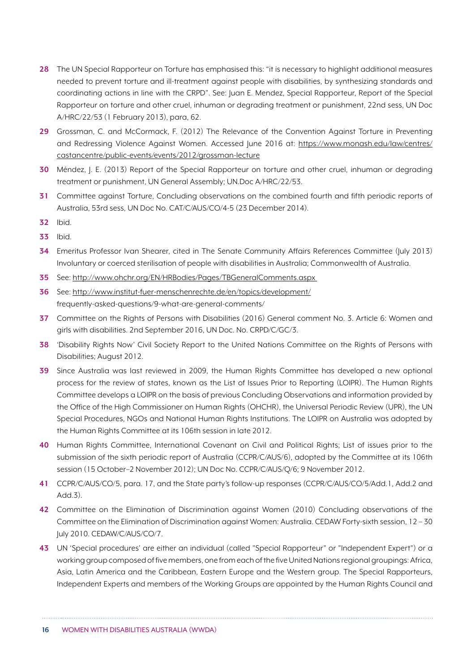- **28** The UN Special Rapporteur on Torture has emphasised this: "it is necessary to highlight additional measures needed to prevent torture and ill-treatment against people with disabilities, by synthesizing standards and coordinating actions in line with the CRPD". See: Juan E. Mendez, Special Rapporteur, Report of the Special Rapporteur on torture and other cruel, inhuman or degrading treatment or punishment, 22nd sess, UN Doc A/HRC/22/53 (1 February 2013), para, 62.
- **29** Grossman, C. and McCormack, F. (2012) The Relevance of the Convention Against Torture in Preventing and Redressing Violence Against Women. Accessed June 2016 at: [https://www.monash.edu/law/centres/](https://www.monash.edu/law/centres/castancentre/public-events/events/2012/grossman-lecture) [castancentre/public-events/events/2012/grossman-lecture](https://www.monash.edu/law/centres/castancentre/public-events/events/2012/grossman-lecture)
- **30** Méndez, J. E. (2013) Report of the Special Rapporteur on torture and other cruel, inhuman or degrading treatment or punishment, UN General Assembly; UN.Doc A/HRC/22/53.
- **31** Committee against Torture, Concluding observations on the combined fourth and fifth periodic reports of Australia, 53rd sess, UN Doc No. CAT/C/AUS/CO/4-5 (23 December 2014).
- **32** Ibid.
- **33** Ibid.
- **34** Emeritus Professor Ivan Shearer, cited in The Senate Community Affairs References Committee (July 2013) Involuntary or coerced sterilisation of people with disabilities in Australia; Commonwealth of Australia.
- **35** See: [http://www.ohchr.org/EN/HRBodies/Pages/TBGeneralComments.aspx](http://www.ohchr.org/EN/HRBodies/Pages/TBGeneralComments.aspx )
- **36** See:<http://www.institut-fuer-menschenrechte.de/en/topics/development/> frequently-asked-questions/9-what-are-general-comments/
- **37** Committee on the Rights of Persons with Disabilities (2016) General comment No. 3. Article 6: Women and girls with disabilities. 2nd September 2016, UN Doc. No. CRPD/C/GC/3.
- **38** 'Disability Rights Now' Civil Society Report to the United Nations Committee on the Rights of Persons with Disabilities; August 2012.
- **39** Since Australia was last reviewed in 2009, the Human Rights Committee has developed a new optional process for the review of states, known as the List of Issues Prior to Reporting (LOIPR). The Human Rights Committee develops a LOIPR on the basis of previous Concluding Observations and information provided by the Office of the High Commissioner on Human Rights (OHCHR), the Universal Periodic Review (UPR), the UN Special Procedures, NGOs and National Human Rights Institutions. The LOIPR on Australia was adopted by the Human Rights Committee at its 106th session in late 2012.
- **40** Human Rights Committee, International Covenant on Civil and Political Rights; List of issues prior to the submission of the sixth periodic report of Australia (CCPR/C/AUS/6), adopted by the Committee at its 106th session (15 October–2 November 2012); UN Doc No. CCPR/C/AUS/Q/6; 9 November 2012.
- **41** CCPR/C/AUS/CO/5, para. 17, and the State party's follow-up responses (CCPR/C/AUS/CO/5/Add.1, Add.2 and  $Add 3$ )
- **42** Committee on the Elimination of Discrimination against Women (2010) Concluding observations of the Committee on the Elimination of Discrimination against Women: Australia. CEDAW Forty-sixth session, 12 – 30 July 2010. CEDAW/C/AUS/CO/7.
- **43** UN 'Special procedures' are either an individual (called "Special Rapporteur" or "Independent Expert") or a working group composed of five members, one from each of the five United Nations regional groupings: Africa, Asia, Latin America and the Caribbean, Eastern Europe and the Western group. The Special Rapporteurs, Independent Experts and members of the Working Groups are appointed by the Human Rights Council and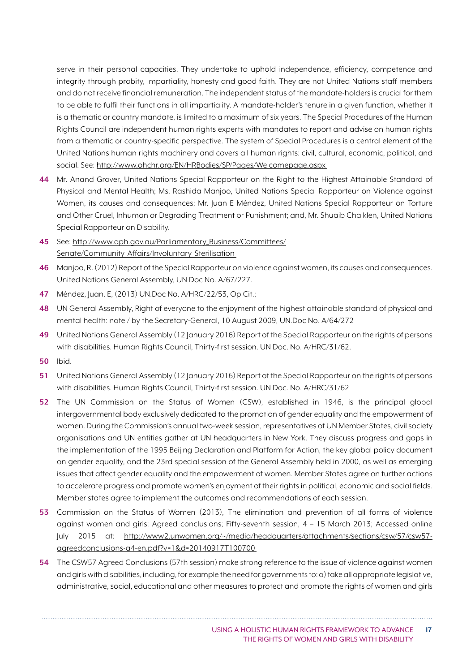serve in their personal capacities. They undertake to uphold independence, efficiency, competence and integrity through probity, impartiality, honesty and good faith. They are not United Nations staff members and do not receive financial remuneration. The independent status of the mandate-holders is crucial for them to be able to fulfil their functions in all impartiality. A mandate-holder's tenure in a given function, whether it is a thematic or country mandate, is limited to a maximum of six years. The Special Procedures of the Human Rights Council are independent human rights experts with mandates to report and advise on human rights from a thematic or country-specific perspective. The system of Special Procedures is a central element of the United Nations human rights machinery and covers all human rights: civil, cultural, economic, political, and social. See: [http://www.ohchr.org/EN/HRBodies/SP/Pages/Welcomepage.aspx](http://www.ohchr.org/EN/HRBodies/SP/Pages/Welcomepage.aspx ) 

- **44** Mr. Anand Grover, United Nations Special Rapporteur on the Right to the Highest Attainable Standard of Physical and Mental Health; Ms. Rashida Manjoo, United Nations Special Rapporteur on Violence against Women, its causes and consequences; Mr. Juan E Méndez, United Nations Special Rapporteur on Torture and Other Cruel, Inhuman or Degrading Treatment or Punishment; and, Mr. Shuaib Chalklen, United Nations Special Rapporteur on Disability.
- **45** See: [http://www.aph.gov.au/Parliamentary\\_Business/Committees/](http://www.aph.gov.au/Parliamentary_Business/Committees/Senate/Community_Affairs/Involuntary_Sterilisation ) [Senate/Community\\_Affairs/Involuntary\\_Sterilisation](http://www.aph.gov.au/Parliamentary_Business/Committees/Senate/Community_Affairs/Involuntary_Sterilisation )
- **46** Manjoo, R. (2012) Report of the Special Rapporteur on violence against women, its causes and consequences. United Nations General Assembly, UN Doc No. A/67/227.
- **47** Méndez, Juan. E, (2013) UN.Doc No. A/HRC/22/53, Op Cit.;
- **48** UN General Assembly, Right of everyone to the enjoyment of the highest attainable standard of physical and mental health: note / by the Secretary-General, 10 August 2009, UN.Doc No. A/64/272
- **49** United Nations General Assembly (12 January 2016) Report of the Special Rapporteur on the rights of persons with disabilities. Human Rights Council, Thirty-first session. UN Doc. No. A/HRC/31/62.
- **50** Ibid.
- **51** United Nations General Assembly (12 January 2016) Report of the Special Rapporteur on the rights of persons with disabilities. Human Rights Council, Thirty-first session. UN Doc. No. A/HRC/31/62
- **52** The UN Commission on the Status of Women (CSW), established in 1946, is the principal global intergovernmental body exclusively dedicated to the promotion of gender equality and the empowerment of women. During the Commission's annual two-week session, representatives of UN Member States, civil society organisations and UN entities gather at UN headquarters in New York. They discuss progress and gaps in the implementation of the 1995 Beijing Declaration and Platform for Action, the key global policy document on gender equality, and the 23rd special session of the General Assembly held in 2000, as well as emerging issues that affect gender equality and the empowerment of women. Member States agree on further actions to accelerate progress and promote women's enjoyment of their rights in political, economic and social fields. Member states agree to implement the outcomes and recommendations of each session.
- **53** Commission on the Status of Women (2013), The elimination and prevention of all forms of violence against women and girls: Agreed conclusions; Fifty-seventh session, 4 – 15 March 2013; Accessed online July 2015 at: [http://www2.unwomen.org/~/media/headquarters/attachments/sections/csw/57/csw57](http://www2.unwomen.org/~/media/headquarters/attachments/sections/csw/57/csw57-agreedconclusions-a4-en.pdf?v=1&d=20140917T100700 ) [agreedconclusions-a4-en.pdf?v=1&d=20140917T100700](http://www2.unwomen.org/~/media/headquarters/attachments/sections/csw/57/csw57-agreedconclusions-a4-en.pdf?v=1&d=20140917T100700 )
- **54** The CSW57 Agreed Conclusions (57th session) make strong reference to the issue of violence against women and girls with disabilities, including, for example the need for governments to: a) take all appropriate legislative, administrative, social, educational and other measures to protect and promote the rights of women and girls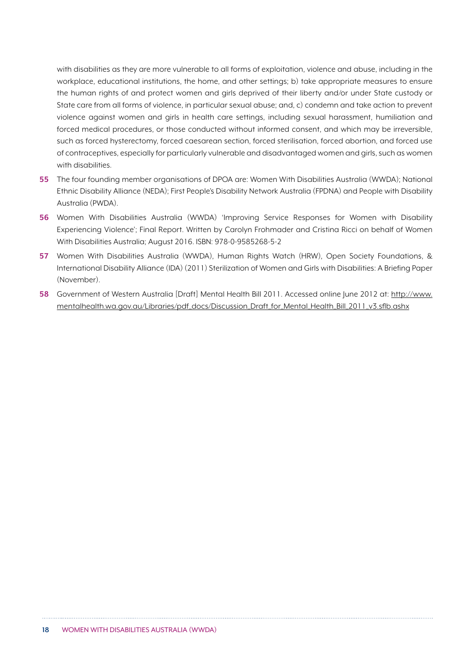with disabilities as they are more vulnerable to all forms of exploitation, violence and abuse, including in the workplace, educational institutions, the home, and other settings; b) take appropriate measures to ensure the human rights of and protect women and girls deprived of their liberty and/or under State custody or State care from all forms of violence, in particular sexual abuse; and, c) condemn and take action to prevent violence against women and girls in health care settings, including sexual harassment, humiliation and forced medical procedures, or those conducted without informed consent, and which may be irreversible, such as forced hysterectomy, forced caesarean section, forced sterilisation, forced abortion, and forced use of contraceptives, especially for particularly vulnerable and disadvantaged women and girls, such as women with disabilities.

- **55** The four founding member organisations of DPOA are: Women With Disabilities Australia (WWDA); National Ethnic Disability Alliance (NEDA); First People's Disability Network Australia (FPDNA) and People with Disability Australia (PWDA).
- **56** Women With Disabilities Australia (WWDA) 'Improving Service Responses for Women with Disability Experiencing Violence'; Final Report. Written by Carolyn Frohmader and Cristina Ricci on behalf of Women With Disabilities Australia; August 2016. ISBN: 978-0-9585268-5-2
- **57** Women With Disabilities Australia (WWDA), Human Rights Watch (HRW), Open Society Foundations, & International Disability Alliance (IDA) (2011) Sterilization of Women and Girls with Disabilities: A Briefing Paper (November).
- **58** Government of Western Australia [Draft] Mental Health Bill 2011. Accessed online June 2012 at: [http://www.](http://www.mentalhealth.wa.gov.au/Libraries/pdf_docs/Discussion_Draft_for_Mental_Health_Bill_2011_v3.sflb.ashx) [mentalhealth.wa.gov.au/Libraries/pdf\\_docs/Discussion\\_Draft\\_for\\_Mental\\_Health\\_Bill\\_2011\\_v3.sflb.ashx](http://www.mentalhealth.wa.gov.au/Libraries/pdf_docs/Discussion_Draft_for_Mental_Health_Bill_2011_v3.sflb.ashx)